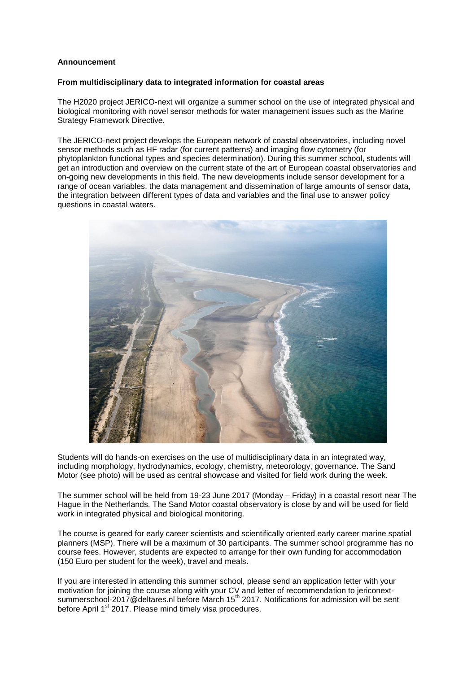## **Announcement**

## **From multidisciplinary data to integrated information for coastal areas**

The H2020 project JERICO-next will organize a summer school on the use of integrated physical and biological monitoring with novel sensor methods for water management issues such as the Marine Strategy Framework Directive.

The JERICO-next project develops the European network of coastal observatories, including novel sensor methods such as HF radar (for current patterns) and imaging flow cytometry (for phytoplankton functional types and species determination). During this summer school, students will get an introduction and overview on the current state of the art of European coastal observatories and on-going new developments in this field. The new developments include sensor development for a range of ocean variables, the data management and dissemination of large amounts of sensor data, the integration between different types of data and variables and the final use to answer policy questions in coastal waters.



Students will do hands-on exercises on the use of multidisciplinary data in an integrated way, including morphology, hydrodynamics, ecology, chemistry, meteorology, governance. The Sand Motor (see photo) will be used as central showcase and visited for field work during the week.

The summer school will be held from 19-23 June 2017 (Monday – Friday) in a coastal resort near The Hague in the Netherlands. The [Sand M](http://www.dezandmotor.nl/en/)otor coastal observatory is close by and will be used for field work in integrated physical and biological monitoring.

The course is geared for early career scientists and scientifically oriented early career marine spatial planners (MSP). There will be a maximum of 30 participants. The summer school programme has no course fees. However, students are expected to arrange for their own funding for accommodation (150 Euro per student for the week), travel and meals.

If you are interested in attending this summer school, please send an application letter with your motivation for joining the course along with your CV and letter of recommendation to jericonextsummerschool-2017@deltares.nl before March 15th 2017. Notifications for admission will be sent before April 1<sup>st</sup> 2017. Please mind timely visa procedures.